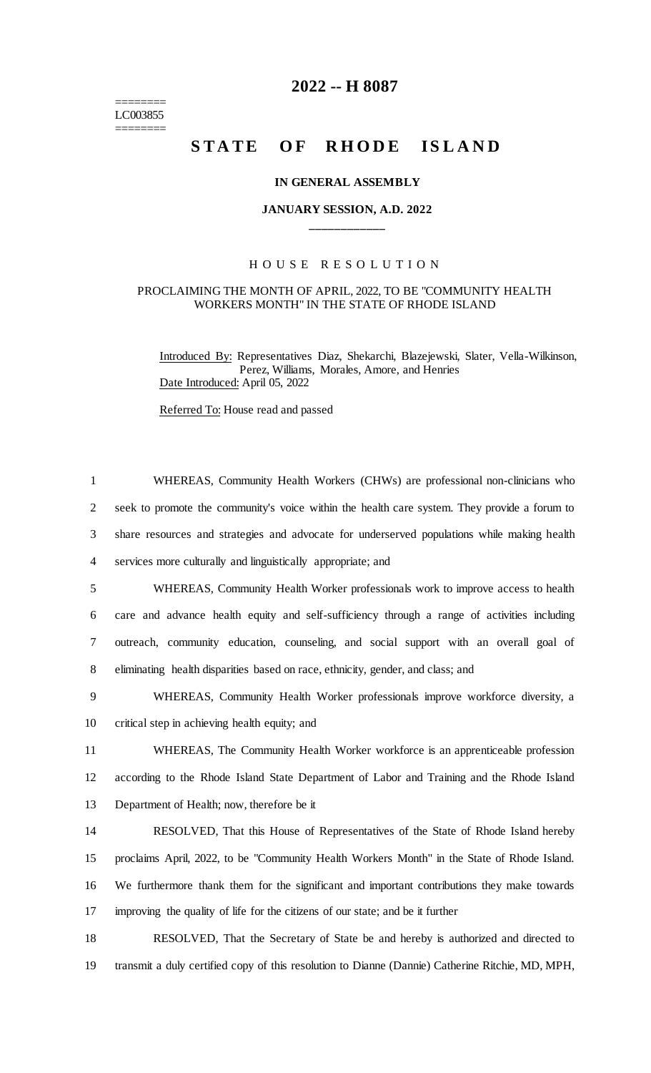======== LC003855 ========

## **2022 -- H 8087**

# **STATE OF RHODE ISLAND**

### **IN GENERAL ASSEMBLY**

## **JANUARY SESSION, A.D. 2022 \_\_\_\_\_\_\_\_\_\_\_\_**

## H O U S E R E S O L U T I O N

### PROCLAIMING THE MONTH OF APRIL, 2022, TO BE "COMMUNITY HEALTH WORKERS MONTH" IN THE STATE OF RHODE ISLAND

Introduced By: Representatives Diaz, Shekarchi, Blazejewski, Slater, Vella-Wilkinson, Perez, Williams, Morales, Amore, and Henries Date Introduced: April 05, 2022

Referred To: House read and passed

 WHEREAS, Community Health Workers (CHWs) are professional non-clinicians who seek to promote the community's voice within the health care system. They provide a forum to share resources and strategies and advocate for underserved populations while making health services more culturally and linguistically appropriate; and WHEREAS, Community Health Worker professionals work to improve access to health care and advance health equity and self-sufficiency through a range of activities including outreach, community education, counseling, and social support with an overall goal of eliminating health disparities based on race, ethnicity, gender, and class; and WHEREAS, Community Health Worker professionals improve workforce diversity, a critical step in achieving health equity; and WHEREAS, The Community Health Worker workforce is an apprenticeable profession according to the Rhode Island State Department of Labor and Training and the Rhode Island Department of Health; now, therefore be it RESOLVED, That this House of Representatives of the State of Rhode Island hereby proclaims April, 2022, to be "Community Health Workers Month" in the State of Rhode Island. We furthermore thank them for the significant and important contributions they make towards improving the quality of life for the citizens of our state; and be it further RESOLVED, That the Secretary of State be and hereby is authorized and directed to

19 transmit a duly certified copy of this resolution to Dianne (Dannie) Catherine Ritchie, MD, MPH,